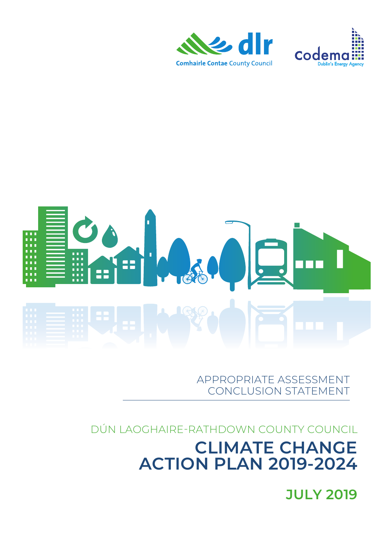## **JULY 2019**

## DÚN LAOGHAIRE-RATHDOWN COUNTY COUNCIL **CLIMATE CHANGE ACTION PLAN 2019-2024**

APPROPRIATE ASSESSMENT CONCLUSION STATEMENT